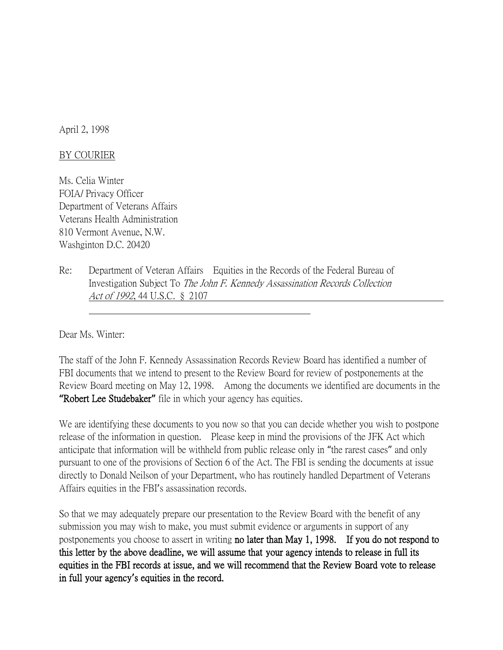April 2, 1998

## BY COURIER

Ms. Celia Winter FOIA/ Privacy Officer Department of Veterans Affairs Veterans Health Administration 810 Vermont Avenue, N.W. Washginton D.C. 20420

Re: Department of Veteran Affairs Equities in the Records of the Federal Bureau of Investigation Subject To The John F. Kennedy Assassination Records Collection Act of 1992, 44 U.S.C. § 2107

Dear Ms. Winter:

The staff of the John F. Kennedy Assassination Records Review Board has identified a number of FBI documents that we intend to present to the Review Board for review of postponements at the Review Board meeting on May 12, 1998. Among the documents we identified are documents in the **"**Robert Lee Studebaker**"** file in which your agency has equities.

We are identifying these documents to you now so that you can decide whether you wish to postpone release of the information in question. Please keep in mind the provisions of the JFK Act which anticipate that information will be withheld from public release only in "the rarest cases" and only pursuant to one of the provisions of Section 6 of the Act. The FBI is sending the documents at issue directly to Donald Neilson of your Department, who has routinely handled Department of Veterans Affairs equities in the FBI's assassination records.

So that we may adequately prepare our presentation to the Review Board with the benefit of any submission you may wish to make, you must submit evidence or arguments in support of any postponements you choose to assert in writing no later than May 1, 1998. If you do not respond to this letter by the above deadline, we will assume that your agency intends to release in full its equities in the FBI records at issue, and we will recommend that the Review Board vote to release in full your agency**'**s equities in the record.